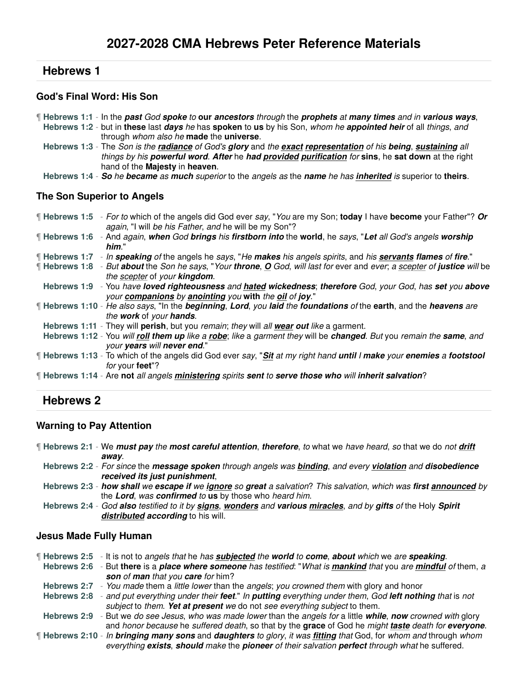# **Hebrews 1**

#### **God's Final Word: His Son**

- ¶ **Hebrews 1:1** In the **past** God **spoke** to **our ancestors** through the **prophets** at **many times** and in **various ways**,
	- **Hebrews 1:2** but in **these** last **days** he has **spoken** to **us** by his Son, whom he **appointed heir** of all things, and through whom also he **made** the **universe**.
	- **Hebrews 1:3** The Son is the **radiance** of God's **glory** and the **exact representation** of his **being**, **sustaining** all things by his **powerful word**. **After** he **had provided purification** for **sins**, he **sat down** at the right hand of the **Majesty** in **heaven**.
- **Hebrews 1:4 So** he **became** as **much** superior to the angels as the **name** he has **inherited** is superior to **theirs**.

#### **The Son Superior to Angels**

- ¶ **Hebrews 1:5** For to which of the angels did God ever say, "You are my Son; **today** I have **become** your Father"? **Or** again, "I will be his Father, and he will be my Son"?
- ¶ **Hebrews 1:6** And again, **when** God **brings** his **firstborn into** the **world**, he says, "**Let** all God's angels **worship him**."
- ¶ **Hebrews 1:7** In **speaking** of the angels he says, "He **makes** his angels spirits, and his **servants flames** of **fire**."
- ¶ **Hebrews 1:8** But **about** the Son he says, "Your **throne**, **O** God, will last for ever and ever; a scepter of **justice** will be the scepter of your **kingdom**.
	- **Hebrews 1:9** You have **loved righteousness** and **hated wickedness**; **therefore** God, your God, has **set** you **above** your **companions** by **anointing** you **with** the **oil** of **joy**."
- ¶ **Hebrews 1:10** He also says, "In the **beginning**, **Lord**, you **laid** the **foundations** of the **earth**, and the **heavens** are the **work** of your **hands**.
- **Hebrews 1:11** They will **perish**, but you remain; they will all **wear out** like a garment.
- **Hebrews 1:12** You will **roll them up** like a **robe**; like a garment they will be **changed**. But you remain the **same**, and your **years** will **never end**."
- ¶ **Hebrews 1:13** To which of the angels did God ever say, "**Sit** at my right hand **until** I **make** your **enemies** a **footstool** for your **feet**"?
- ¶ **Hebrews 1:14** Are **not** all angels **ministering** spirits **sent** to **serve those who** will **inherit salvation**?

# **Hebrews 2**

#### **Warning to Pay Attention**

- ¶ **Hebrews 2:1** We **must pay** the **most careful attention**, **therefore**, to what we have heard, so that we do not **drift away**.
	- **Hebrews 2:2** For since the **message spoken** through angels was **binding**, and every **violation** and **disobedience received its just punishment**,
	- **Hebrews 2:3 how shall** we **escape if** we **ignore** so **great** a salvation? This salvation, which was **first announced** by the **Lord**, was **confirmed** to **us** by those who heard him.
	- **Hebrews 2:4** God **also** testified to it by **signs**, **wonders** and **various miracles**, and by **gifts** of the Holy **Spirit distributed according** to his will.

#### **Jesus Made Fully Human**

- ¶ **Hebrews 2:5** It is not to angels that he has **subjected** the **world** to **come**, **about** which we are **speaking**.
- **Hebrews 2:6** But **there** is a **place where someone** has testified: "What is **mankind** that you are **mindful** of them, a **son** of **man** that you **care** for him?
- Hebrews 2:7 You made them a little lower than the angels; you crowned them with glory and honor
- **Hebrews 2:8** and put everything under their **feet**." In **putting** everything under them, God **left nothing** that is not subject to them. **Yet at present** we do not see everything subject to them.
- **Hebrews 2:9** But we do see Jesus, who was made lower than the angels for a little **while**, **now** crowned with glory and honor because he suffered death, so that by the **grace** of God he might **taste** death for **everyone**.
- ¶ **Hebrews 2:10** In **bringing many sons** and **daughters** to glory, it was **fitting** that God, for whom and through whom everything **exists**, **should** make the **pioneer** of their salvation **perfect** through what he suffered.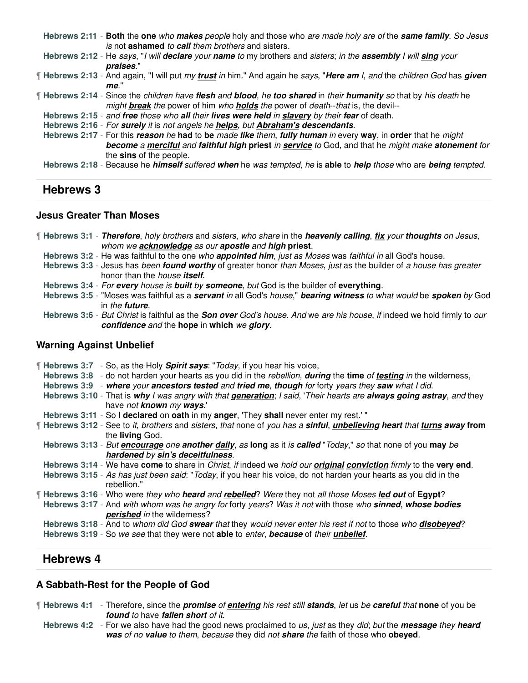**Hebrews 2:11** - **Both** the **one** who **makes** people holy and those who are made holy are of the **same family**. So Jesus is not **ashamed** to **call** them brothers and sisters.

**Hebrews 2:12** - He says, "I will **declare** your **name** to my brothers and sisters; in the **assembly** I will **sing** your **praises**."

¶ **Hebrews 2:13** - And again, "I will put my **trust** in him." And again he says, "**Here am** I, and the children God has **given me**."

¶ **Hebrews 2:14** - Since the children have **flesh** and **blood**, he **too shared** in their **humanity** so that by his death he might **break** the power of him who **holds** the power of death--that is, the devil--

**Hebrews 2:15** - and **free** those who **all** their **lives were held** in **slavery** by their **fear** of death.

**Hebrews 2:16** - For **surely** it is not angels he **helps**, but **Abraham's descendants**.

**Hebrews 2:17** - For this **reason** he **had** to **be** made **like** them, **fully human** in every **way**, in **order** that he might **become** a **merciful** and **faithful high priest** in **service** to God, and that he might make **atonement** for the **sins** of the people.

**Hebrews 2:18** - Because he **himself** suffered **when** he was tempted, he is **able** to **help** those who are **being** tempted.

# **Hebrews 3**

#### **Jesus Greater Than Moses**

| If Hebrews 3:1 - Therefore, holy brothers and sisters, who share in the heavenly calling, fix your thoughts on Jesus, |  |                                                                           |  |  |  |
|-----------------------------------------------------------------------------------------------------------------------|--|---------------------------------------------------------------------------|--|--|--|
|                                                                                                                       |  | whom we <b>acknowledge</b> as our <b>apostle</b> and <b>high priest</b> . |  |  |  |

**Hebrews 3:2** - He was faithful to the one who **appointed him**, just as Moses was faithful in all God's house.

- **Hebrews 3:3** Jesus has been **found worthy** of greater honor than Moses, just as the builder of a house has greater honor than the house **itself**.
- **Hebrews 3:4** For **every** house is **built** by **someone**, but God is the builder of **everything**.
- **Hebrews 3:5** "Moses was faithful as a **servant** in all God's house," **bearing witness** to what would be **spoken** by God in the **future**.
- **Hebrews 3:6** But Christ is faithful as the **Son over** God's house. And we are his house, if indeed we hold firmly to our **confidence** and the **hope** in **which** we **glory**.

#### **Warning Against Unbelief**

| <b>Hebrews 3:7</b> - So, as the Holy <b>Spirit says:</b> "Today, if you hear his voice,<br>Hebrews 3:8 - do not harden your hearts as you did in the rebellion, during the time of testing in the wilderness,<br>Hebrews 3:9 - where your ancestors tested and tried me, though for forty years they saw what I did. |
|----------------------------------------------------------------------------------------------------------------------------------------------------------------------------------------------------------------------------------------------------------------------------------------------------------------------|
| Hebrews 3:10 - That is why I was angry with that generation; I said, 'Their hearts are always going astray, and they<br>have not known my ways.'                                                                                                                                                                     |
| Hebrews 3:11 - So I declared on oath in my anger, 'They shall never enter my rest.'"                                                                                                                                                                                                                                 |
| If Hebrews 3:12 - See to it, brothers and sisters, that none of you has a sinful, unbelieving heart that turns away from<br>the <b>living</b> God.                                                                                                                                                                   |
| Hebrews 3:13 - But <i>encourage</i> one another <i>daily</i> , as long as it is called "Today," so that none of you may be                                                                                                                                                                                           |
| hardened by sin's deceitfulness.                                                                                                                                                                                                                                                                                     |
| Hebrews 3:14 - We have come to share in <i>Christ, if</i> indeed we <i>hold our original conviction firmly</i> to the very end.                                                                                                                                                                                      |
| Hebrews 3:15 - As has just been said: "Today, if you hear his voice, do not harden your hearts as you did in the<br>rebellion."                                                                                                                                                                                      |
| [Hebrews 3:16 - Who were they who heard and rebelled? Were they not all those Moses led out of Egypt?                                                                                                                                                                                                                |
| Hebrews 3:17 - And with whom was he angry for forty years? Was it not with those who sinned, whose bodies<br><b>perished</b> in the wilderness?                                                                                                                                                                      |
| Hebrews 3:18 - And to whom did God swear that they would never enter his rest if not to those who disobeyed?<br>Hebrews 3:19 - So we see that they were not able to enter, because of their unbelief.                                                                                                                |

# **Hebrews 4**

#### **A Sabbath-Rest for the People of God**

¶ **Hebrews 4:1** - Therefore, since the **promise** of **entering** his rest still **stands**, let us be **careful** that **none** of you be **found** to have **fallen short** of it.

**Hebrews 4:2** - For we also have had the good news proclaimed to us, just as they did; but the **message** they **heard was** of no **value** to them, because they did not **share** the faith of those who **obeyed**.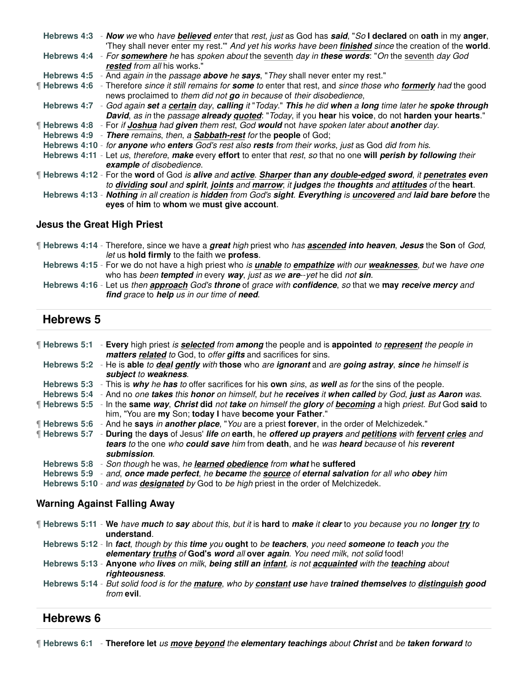| Hebrews 4:3 - Now we who have believed enter that rest, just as God has said, "So I declared on oath in my anger,<br>They shall never enter my rest." And yet his works have been finished since the creation of the world. |
|-----------------------------------------------------------------------------------------------------------------------------------------------------------------------------------------------------------------------------|
| Hebrews 4:4 - For somewhere he has spoken about the seventh day in these words: "On the seventh day God<br>rested from all his works."                                                                                      |
| Hebrews 4:5 - And again in the passage above he says, "They shall never enter my rest."                                                                                                                                     |
| If Hebrews 4:6 - Therefore since it still remains for some to enter that rest, and since those who formerly had the good<br>news proclaimed to them did not go in because of their disobedience,                            |
| Hebrews 4:7 - God again set a certain day, calling it "Today." This he did when a long time later he spoke through<br>David, as in the passage already quoted: "Today, if you hear his voice, do not harden your hearts."   |
| If Hebrews 4:8 - For if Joshua had given them rest, God would not have spoken later about another day.                                                                                                                      |
| Hebrews 4:9 - There remains, then, a Sabbath-rest for the people of God;                                                                                                                                                    |
| Hebrews 4:10 - for anyone who enters God's rest also rests from their works, just as God did from his.                                                                                                                      |
| Hebrews 4:11 - Let us, therefore, make every effort to enter that rest, so that no one will perish by following their<br>example of disobedience.                                                                           |
| If Hebrews 4:12 - For the word of God is alive and active. Sharper than any double-edged sword, it penetrates even                                                                                                          |
| to dividing soul and spirit, joints and marrow; it judges the thoughts and attitudes of the heart.                                                                                                                          |
| Hebrews 4:13 - Nothing in all creation is hidden from God's sight. Everything is uncovered and laid bare before the                                                                                                         |
| eyes of him to whom we must give account.                                                                                                                                                                                   |

#### **Jesus the Great High Priest**

- ¶ **Hebrews 4:14** Therefore, since we have a **great** high priest who has **ascended into heaven**, **Jesus** the **Son** of God, let us **hold firmly** to the faith we **profess**.
	- **Hebrews 4:15** For we do not have a high priest who is **unable** to **empathize** with our **weaknesses**, but we have one who has been **tempted** in every **way**, just as we **are**--yet he did not **sin**.
	- **Hebrews 4:16** Let us then **approach** God's **throne** of grace with **confidence**, so that we **may receive mercy** and **find** grace to **help** us in our time of **need**.

# **Hebrews 5**

| <b>Hebrews 5:1</b> - Every high priest is <b>selected</b> from <b>among</b> the people and is <b>appointed</b> to represent the people in                                     |
|-------------------------------------------------------------------------------------------------------------------------------------------------------------------------------|
| matters related to God, to offer gifts and sacrifices for sins.                                                                                                               |
| Hebrews 5:2 - He is able to deal gently with those who are ignorant and are going astray, since he himself is                                                                 |
| subject to weakness.                                                                                                                                                          |
| Hebrews 5:3 - This is why he has to offer sacrifices for his own sins, as well as for the sins of the people.                                                                 |
| Hebrews 5:4 - And no one takes this honor on himself, but he receives it when called by God, just as Aaron was.                                                               |
| Hebrews 5:5 - In the same way, Christ did not take on himself the glory of becoming a high priest. But God said to<br>him, "You are my Son; today I have become your Father." |
| "Hebrews 5:6 - And he says in another place, "You are a priest forever, in the order of Melchizedek."                                                                         |
| <b>Hebrews 5:7</b> - During the days of Jesus' life on earth, he offered up prayers and petitions with fervent cries and                                                      |
| tears to the one who could save him from death, and he was heard because of his reverent<br>submission.                                                                       |
| Hebrews 5:8 - Son though he was, he learned obedience from what he suffered                                                                                                   |
| Hebrews 5:9 - and, once made perfect, he became the source of eternal salvation for all who obey him                                                                          |
| Hebrews 5:10 - and was <b>designated</b> by God to be high priest in the order of Melchizedek.                                                                                |
| <b>Warning Against Falling Away</b>                                                                                                                                           |
| If Hebrews 5:11 - We have much to say about this, but it is hard to make it clear to you because you no longer try to<br>understand.                                          |
| Hebrews 5:12 - In fact, though by this time you ought to be teachers, you need someone to teach you the                                                                       |
| elementary truths of God's word all over again. You need milk, not solid food!                                                                                                |
| Hobrows 5:12. Anyone who lives an milk hoing still an infant is not acquainted with the teaching about                                                                        |

- **Hebrews 5:13 Anyone** who **lives** on milk, **being still an infant**, is not **acquainted** with the **teaching** about **righteousness**.
- **Hebrews 5:14** But solid food is for the **mature**, who by **constant use** have **trained themselves** to **distinguish good** from **evil**.

#### **Hebrews 6**

¶ **Hebrews 6:1** - **Therefore let** us **move beyond** the **elementary teachings** about **Christ** and be **taken forward** to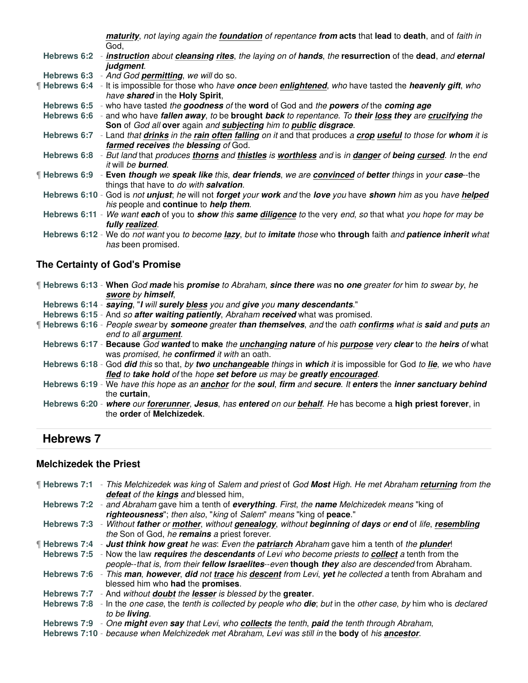**maturity**, not laying again the **foundation** of repentance **from acts** that **lead** to **death**, and of faith in God,

**Hebrews 6:2** - **instruction** about **cleansing rites**, the laying on of **hands**, the **resurrection** of the **dead**, and **eternal judgment**.

- **Hebrews 6:3** And God **permitting**, we will do so.
- ¶ **Hebrews 6:4** It is impossible for those who have **once** been **enlightened**, who have tasted the **heavenly gift**, who have **shared** in the **Holy Spirit**,
- **Hebrews 6:5** who have tasted the **goodness** of the **word** of God and the **powers** of the **coming age**

**Hebrews 6:6** - and who have **fallen away**, to be **brought back** to repentance. To **their loss they** are **crucifying** the **Son** of God all **over** again and **subjecting** him to **public disgrace**.

- **Hebrews 6:7** Land that **drinks** in the **rain often falling** on it and that produces a **crop useful** to those for **whom** it is **farmed receives** the **blessing** of God.
- **Hebrews 6:8** But land that produces **thorns** and **thistles** is **worthless** and is in **danger** of **being cursed**. In the end it will be **burned**.
- ¶ **Hebrews 6:9 Even though** we **speak like** this, **dear friends**, we are **convinced** of **better** things in your **case**--the things that have to do with **salvation**.
- **Hebrews 6:10** God is not **unjust**; he will not **forget** your **work** and the **love** you have **shown** him as you have **helped** his people and **continue** to **help them**.
- **Hebrews 6:11** We want **each** of you to **show** this **same diligence** to the very end, so that what you hope for may be **fully realized**.
- **Hebrews 6:12** We do not want you to become **lazy**, but to **imitate** those who **through** faith and **patience inherit** what has been promised.

#### **The Certainty of God's Promise**

| <b>Hebrews 6:13 - When God made his promise</b> to Abraham, since there was no one greater for him to swear by, he              |
|---------------------------------------------------------------------------------------------------------------------------------|
| swore by himself,                                                                                                               |
| Hebrews 6:14 - saying, "I will surely bless you and give you many descendants."                                                 |
| Hebrews 6:15 - And so after waiting patiently, Abraham received what was promised.                                              |
| <b>If Hebrews 6:16</b> - People swear by <b>someone</b> greater than themselves, and the oath confirms what is said and puts an |
| end to all <b>argument</b> .                                                                                                    |
| Hebrews 6:17 - Because God wanted to make the unchanging nature of his purpose very clear to the heirs of what                  |
| was promised, he confirmed it with an oath.                                                                                     |
| Hebrews 6:18 - God did this so that, by two unchangeable things in which it is impossible for God to lie, we who have           |
| fled to take hold of the hope set before us may be greatly encouraged.                                                          |
| Hebrews 6:19 - We have this hope as an anchor for the soul, firm and secure. It enters the inner sanctuary behind               |
| the curtain.                                                                                                                    |
| Hebrews 6:20 - where our forerunner, Jesus, has entered on our behalf. He has become a high priest forever, in                  |
| the order of Melchizedek.                                                                                                       |
|                                                                                                                                 |

# **Hebrews 7**

#### **Melchizedek the Priest**

| Hebrews 7:1 - This Melchizedek was king of Salem and priest of God Most High. He met Abraham returning from the                |
|--------------------------------------------------------------------------------------------------------------------------------|
| defeat of the kings and blessed him,                                                                                           |
| Hebrews 7:2 - and Abraham gave him a tenth of everything. First, the name Melchizedek means "king of                           |
| righteousness"; then also, "king of Salem" means "king of peace."                                                              |
| Hebrews 7:3 - Without father or mother, without genealogy, without beginning of days or end of life, resembling                |
| the Son of God, he remains a priest forever.                                                                                   |
| <b>Hebrews 7:4</b> - Just think how great he was: Even the patriarch Abraham gave him a tenth of the plunder!                  |
| Hebrews 7:5 - Now the law requires the descendants of Levi who become priests to collect a tenth from the                      |
| people--that is, from their fellow Israelites--even though they also are descended from Abraham.                               |
| Hebrews 7:6 - This man, however, did not trace his descent from Levi, yet he collected a tenth from Abraham and                |
| blessed him who had the promises.                                                                                              |
| Hebrews 7:7 - And without <b>doubt</b> the lesser is blessed by the greater.                                                   |
| Hebrews 7:8 - In the one case, the tenth is collected by people who <b>die</b> ; but in the other case, by him who is declared |
| to be <b>livina</b> .                                                                                                          |
| Hebrews 7:9 - One might even say that Levi, who collects the tenth, paid the tenth through Abraham,                            |
| Hebrews 7:10 - because when Melchizedek met Abraham, Levi was still in the body of his ancestor.                               |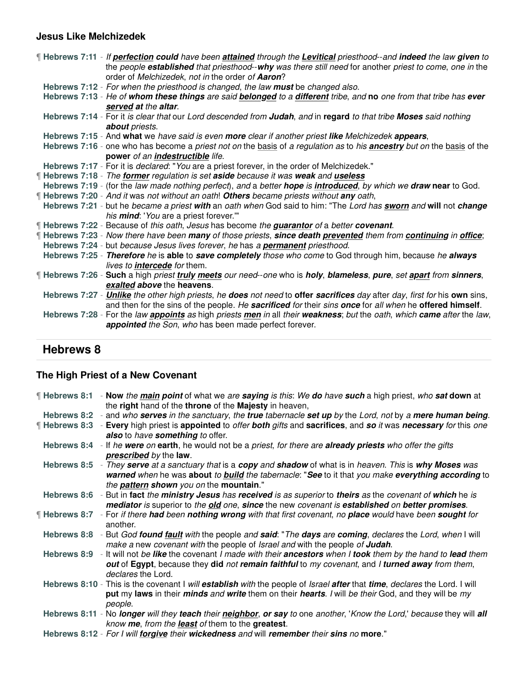# **Jesus Like Melchizedek**

| If Hebrews 7:11 - If perfection could have been attained through the Levitical priesthood--and indeed the law given to<br>the people established that priesthood--why was there still need for another priest to come, one in the<br>order of Melchizedek, not in the order of Aaron? |
|---------------------------------------------------------------------------------------------------------------------------------------------------------------------------------------------------------------------------------------------------------------------------------------|
|                                                                                                                                                                                                                                                                                       |
| Hebrews 7:12 - For when the priesthood is changed, the law must be changed also.                                                                                                                                                                                                      |
| Hebrews 7:13 - He of whom these things are said belonged to a different tribe, and no one from that tribe has ever<br>served at the altar.                                                                                                                                            |
| Hebrews 7:14 - For it is clear that our Lord descended from Judah, and in regard to that tribe Moses said nothing                                                                                                                                                                     |
|                                                                                                                                                                                                                                                                                       |
| about priests.                                                                                                                                                                                                                                                                        |
| Hebrews 7:15 - And what we have said is even more clear if another priest like Melchizedek appears,                                                                                                                                                                                   |
| Hebrews 7:16 - one who has become a priest not on the basis of a regulation as to his ancestry but on the basis of the                                                                                                                                                                |
| power of an indestructible life.                                                                                                                                                                                                                                                      |
| Hebrews 7:17 - For it is <i>declared</i> : "You are a priest forever, in the order of Melchizedek."                                                                                                                                                                                   |
| <b>Hebrews 7:18</b> - The former regulation is set aside because it was weak and useless                                                                                                                                                                                              |
| Hebrews 7:19 - (for the law made nothing perfect), and a better hope is <i>introduced</i> , by which we draw near to God.                                                                                                                                                             |
| <b>Hebrews 7:20</b> - And it was not without an oath! Others became priests without any oath,                                                                                                                                                                                         |
| Hebrews 7:21 - but he became a priest with an oath when God said to him: "The Lord has sworn and will not change                                                                                                                                                                      |
| his <b>mind</b> : 'You are a priest forever.'"                                                                                                                                                                                                                                        |
|                                                                                                                                                                                                                                                                                       |
| If Hebrews 7:22 - Because of this oath, Jesus has become the <i>guarantor</i> of a better covenant.                                                                                                                                                                                   |
| [Hebrews 7:23 - Now there have been many of those priests, since death prevented them from continuing in office;                                                                                                                                                                      |
| Hebrews 7:24 - but because Jesus lives forever, he has a <b>permanent</b> priesthood.                                                                                                                                                                                                 |
| Hebrews 7:25 - Therefore he is able to save completely those who come to God through him, because he always                                                                                                                                                                           |
| lives to <b>intercede</b> for them.                                                                                                                                                                                                                                                   |
| ¶ Hebrews 7:26 - Such a high priest truly meets our need-one who is holy, blameless, pure, set apart from sinners,                                                                                                                                                                    |
| exalted above the heavens.                                                                                                                                                                                                                                                            |
| Hebrews 7:27 - Unlike the other high priests, he does not need to offer sacrifices day after day, first for his own sins,                                                                                                                                                             |
|                                                                                                                                                                                                                                                                                       |
| and then for the sins of the people. He sacrificed for their sins once for all when he offered himself.                                                                                                                                                                               |
| Hebrews 7:28 - For the law <i>appoints</i> as high priests men in all their weakness; but the oath, which came after the law,                                                                                                                                                         |
| appointed the Son, who has been made perfect forever.                                                                                                                                                                                                                                 |
|                                                                                                                                                                                                                                                                                       |

# **Hebrews 8**

# **The High Priest of a New Covenant**

| - Now the main point of what we are saying is this: We do have such a high priest, who sat down at<br>the right hand of the throne of the Majesty in heaven,                                    |
|-------------------------------------------------------------------------------------------------------------------------------------------------------------------------------------------------|
| - and who serves in the sanctuary, the true tabernacle set up by the Lord, not by a mere human being.                                                                                           |
| - Every high priest is appointed to <i>offer both gifts</i> and sacrifices, and so it was necessary for this one<br>also to have something to offer.                                            |
| Hebrews 8:4 - If he were on earth, he would not be a priest, for there are already priests who offer the gifts                                                                                  |
| prescribed by the law.                                                                                                                                                                          |
| Hebrews 8:5 - They serve at a sanctuary that is a copy and shadow of what is in heaven. This is why Moses was                                                                                   |
| warned when he was about to <b>build</b> the tabernacle: "See to it that you make everything according to                                                                                       |
| the <b>pattern shown</b> you on the <b>mountain</b> ."                                                                                                                                          |
| - But in fact the ministry Jesus has received is as superior to theirs as the covenant of which he is                                                                                           |
| mediator is superior to the old one, since the new covenant is established on better promises.                                                                                                  |
| - For if there had been nothing wrong with that first covenant, no place would have been sought for                                                                                             |
| another.                                                                                                                                                                                        |
| Hebrews 8:8 - But God found fault with the people and said: "The days are coming, declares the Lord, when I will<br>make a new covenant with the people of Israel and with the people of Judah. |
| Hebrews 8:9 - It will not be like the covenant I made with their ancestors when I took them by the hand to lead them                                                                            |
| out of Egypt, because they did not remain faithful to my covenant, and I turned away from them,                                                                                                 |
| declares the Lord.                                                                                                                                                                              |
| Hebrews 8:10 - This is the covenant I will establish with the people of Israel after that time, declares the Lord. I will                                                                       |
| put my laws in their <i>minds and write</i> them on their <i>hearts. I</i> will be their God, and they will be my                                                                               |
| people.                                                                                                                                                                                         |
| Hebrews 8:11 - No longer will they teach their neighbor, or say to one another, 'Know the Lord,' because they will all                                                                          |
| know me, from the least of them to the greatest.                                                                                                                                                |
| Hebrews 8:12 - For I will forgive their wickedness and will remember their sins no more."                                                                                                       |
|                                                                                                                                                                                                 |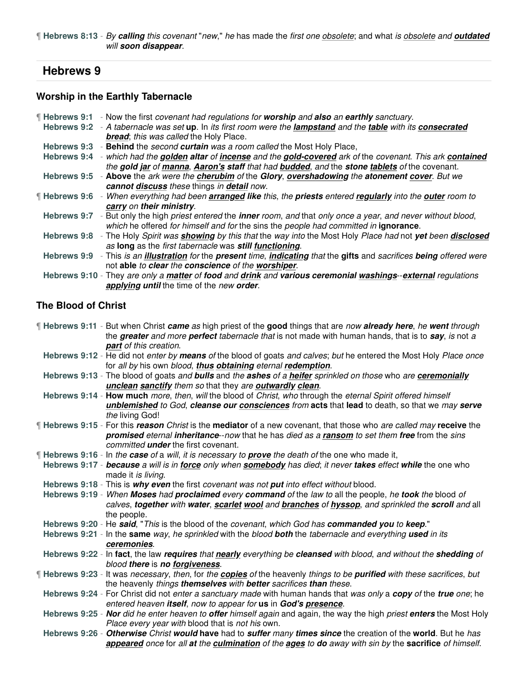¶ **Hebrews 8:13** - By **calling** this covenant "new," he has made the first one obsolete; and what is obsolete and **outdated** will **soon disappear**.

# **Hebrews 9**

#### **Worship in the Earthly Tabernacle**

| ¶ Hebrews 9:1      | - Now the first covenant had regulations for worship and also an earthly sanctuary.                                                     |
|--------------------|-----------------------------------------------------------------------------------------------------------------------------------------|
| Hebrews 9:2        | - A tabernacle was set up. In its first room were the <i>lampstand</i> and the <i>table with its consecrated</i>                        |
|                    | <b>bread:</b> this was called the Holy Place.                                                                                           |
|                    | Hebrews 9:3 - Behind the second curtain was a room called the Most Holy Place,                                                          |
| <b>Hebrews 9:4</b> | - which had the golden altar of incense and the gold-covered ark of the covenant. This ark contained                                    |
|                    | the gold jar of manna, Aaron's staff that had budded, and the stone tablets of the covenant.                                            |
|                    | Hebrews 9:5 - Above the ark were the cherubim of the Glory, overshadowing the atonement cover. But we                                   |
|                    | cannot discuss these things in detail now.                                                                                              |
|                    | If Hebrews 9:6 - When everything had been <b>arranged like</b> this, the <b>priests</b> entered regularly into the <b>outer</b> room to |
|                    | carry on their ministry.                                                                                                                |
|                    | Hebrews 9:7 - But only the high priest entered the <b>inner</b> room, and that only once a year, and never without blood,               |
|                    | which he offered for himself and for the sins the people had committed in ignorance.                                                    |
|                    | Hebrews 9:8 - The Holy Spirit was <b>showing</b> by this that the way into the Most Holy Place had not yet been disclosed               |
|                    | as long as the first tabernacle was still functioning.                                                                                  |
|                    | Hebrews 9:9 - This is an illustration for the present time, indicating that the gifts and sacrifices being offered were                 |
|                    | not able to clear the conscience of the worshiper.                                                                                      |
|                    | Hebrews 9:10 - They are only a matter of food and drink and various ceremonial washings-external regulations                            |
|                    | applying until the time of the new order.                                                                                               |

# **The Blood of Christ**

¶ **Hebrews 9:11** - But when Christ **came** as high priest of the **good** things that are now **already here**, he **went** through the **greater** and more **perfect** tabernacle that is not made with human hands, that is to **say**, is not a **part** of this creation.

- **Hebrews 9:12** He did not enter by **means** of the blood of goats and calves; but he entered the Most Holy Place once for all by his own blood, **thus obtaining** eternal **redemption**.
- **Hebrews 9:13** The blood of goats and **bulls** and the **ashes** of a **heifer** sprinkled on those who are **ceremonially unclean sanctify** them so that they are **outwardly clean**.
- **Hebrews 9:14 How much** more, then, will the blood of Christ, who through the eternal Spirit offered himself **unblemished** to God, **cleanse our consciences** from **acts** that **lead** to death, so that we may **serve** the living God!
- ¶ **Hebrews 9:15** For this **reason** Christ is the **mediator** of a new covenant, that those who are called may **receive** the **promised** eternal **inheritance**--now that he has died as a **ransom** to set them **free** from the sins committed **under** the first covenant.
- ¶ **Hebrews 9:16** In the **case** of a will, it is necessary to **prove** the death of the one who made it,
- **Hebrews 9:17 because** a will is in **force** only when **somebody** has died; it never **takes** effect **while** the one who made it is living.
- **Hebrews 9:18** This is **why even** the first covenant was not **put** into effect without blood.
- **Hebrews 9:19** When **Moses** had **proclaimed** every **command** of the law to all the people, he **took** the blood of calves, **together** with **water**, **scarlet wool** and **branches** of **hyssop**, and sprinkled the **scroll** and all the people.
- **Hebrews 9:20** He **said**, "This is the blood of the covenant, which God has **commanded you** to **keep**."
- **Hebrews 9:21** In the **same** way, he sprinkled with the blood **both** the tabernacle and everything **used** in its **ceremonies**.
- **Hebrews 9:22** In **fact**, the law **requires** that **nearly** everything be **cleansed** with blood, and without the **shedding** of blood **there** is **no forgiveness**.
- ¶ **Hebrews 9:23** It was necessary, then, for the **copies** of the heavenly things to be **purified** with these sacrifices, but the heavenly things **themselves** with **better** sacrifices **than** these.
	- **Hebrews 9:24** For Christ did not enter a sanctuary made with human hands that was only a **copy** of the **true** one; he entered heaven **itself**, now to appear for **us** in **God's presence**.
	- **Hebrews 9:25 Nor** did he enter heaven to **offer** himself again and again, the way the high priest **enters** the Most Holy Place every year with blood that is not his own.
	- **Hebrews 9:26 Otherwise** Christ **would have** had to **suffer** many **times since** the creation of the **world**. But he has **appeared** once for all **at** the **culmination** of the **ages** to **do** away with sin by the **sacrifice** of himself.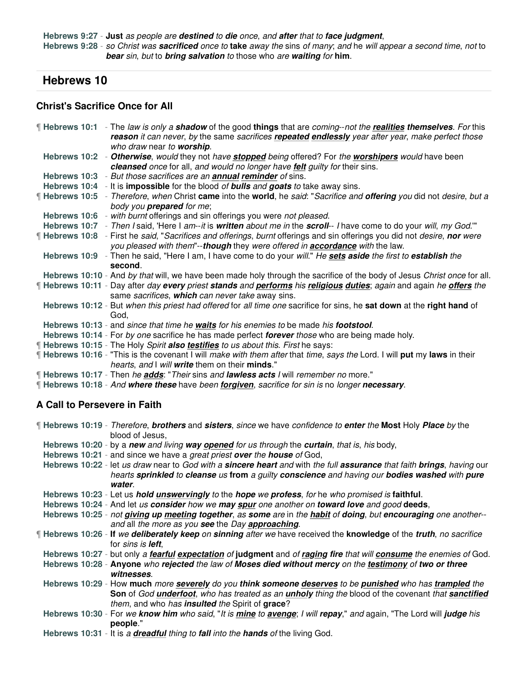**Hebrews 9:27** - **Just** as people are **destined** to **die** once, and **after** that to **face judgment**, **Hebrews 9:28** - so Christ was **sacrificed** once to **take** away the sins of many; and he will appear a second time, not to **bear** sin, but to **bring salvation** to those who are **waiting** for **him**.

### **Hebrews 10**

#### **Christ's Sacrifice Once for All**

| If Hebrews 10:1 - The law is only a <b>shadow</b> of the good things that are coming-not the realities themselves. For this                                                                                       |
|-------------------------------------------------------------------------------------------------------------------------------------------------------------------------------------------------------------------|
| reason it can never, by the same sacrifices repeated endlessly year after year, make perfect those<br>who draw near to worship.                                                                                   |
| Hebrews 10:2 - Otherwise, would they not have stopped being offered? For the worshipers would have been                                                                                                           |
| cleansed once for all, and would no longer have felt guilty for their sins.                                                                                                                                       |
| Hebrews 10:3 - But those sacrifices are an <b>annual reminder</b> of sins.                                                                                                                                        |
| Hebrews 10:4 - It is <b>impossible</b> for the blood <i>of <b>bulls</b></i> and goats to take away sins.                                                                                                          |
| Hebrews 10:5 - Therefore, when Christ came into the world, he said: "Sacrifice and offering you did not desire, but a                                                                                             |
| body you <b>prepared</b> for me;                                                                                                                                                                                  |
| Hebrews 10:6 - with burnt offerings and sin offerings you were not pleased.                                                                                                                                       |
| Hebrews 10:7 - Then I said, 'Here I am--it is written about me in the scroll-- I have come to do your will, my God."                                                                                              |
| If Hebrews 10:8 - First he said, "Sacrifices and offerings, burnt offerings and sin offerings you did not desire, nor were<br>you pleased with them"--though they were offered in <b>accordance</b> with the law. |
| Hebrews 10:9 - Then he said, "Here I am, I have come to do your will." He sets aside the first to establish the<br>second.                                                                                        |
| Hebrews 10:10 - And by that will, we have been made holy through the sacrifice of the body of Jesus Christ once for all.                                                                                          |
| Hebrews 10:11 - Day after day every priest stands and performs his religious duties; again and again he offers the                                                                                                |
| same sacrifices, which can never take away sins.                                                                                                                                                                  |
| Hebrews 10:12 - But when this priest had offered for all time one sacrifice for sins, he sat down at the right hand of                                                                                            |
| God.                                                                                                                                                                                                              |
| Hebrews 10:13 - and since that time he waits for his enemies to be made his footstool.                                                                                                                            |
| Hebrews 10:14 - For by one sacrifice he has made perfect forever those who are being made holy.                                                                                                                   |
| <b>Hebrews 10:15</b> - The Holy Spirit also testifies to us about this. First he says:                                                                                                                            |
| If Hebrews 10:16 - "This is the covenant I will make with them after that time, says the Lord. I will put my laws in their<br>hearts, and I will write them on their minds."                                      |
| <b>Hebrews 10:17</b> - Then he <b>adds</b> : "Their sins and <b>lawless acts</b> I will remember no more."                                                                                                        |
|                                                                                                                                                                                                                   |

¶ **Hebrews 10:18** - And **where these** have been **forgiven**, sacrifice for sin is no longer **necessary**.

#### **A Call to Persevere in Faith**

¶ **Hebrews 10:19** - Therefore, **brothers** and **sisters**, since we have confidence to **enter** the **Most** Holy **Place** by the blood of Jesus, **Hebrews 10:20** - by a **new** and living **way opened** for us through the **curtain**, that is, his body, **Hebrews 10:21** - and since we have a great priest **over** the **house** of God, **Hebrews 10:22** - let us draw near to God with a **sincere heart** and with the full **assurance** that faith **brings**, having our hearts **sprinkled** to **cleanse** us **from** a guilty **conscience** and having our **bodies washed** with **pure water**. **Hebrews 10:23** - Let us **hold unswervingly** to the **hope** we **profess**, for he who promised is **faithful**. **Hebrews 10:24** - And let us **consider** how we **may spur** one another on **toward love** and good **deeds**, **Hebrews 10:25** - not **giving up meeting together**, as **some** are in the **habit** of **doing**, but **encouraging** one another- and all the more as you **see** the Day **approaching**. ¶ **Hebrews 10:26** - **If** we **deliberately keep** on **sinning** after we have received the **knowledge** of the **truth**, no sacrifice for sins is **left**, **Hebrews 10:27** - but only a **fearful expectation** of **judgment** and of **raging fire** that will **consume** the enemies of God. **Hebrews 10:28** - **Anyone** who **rejected** the law of **Moses died without mercy** on the **testimony** of **two or three witnesses**. **Hebrews 10:29** - How **much** more **severely** do you **think someone deserves** to be **punished** who has **trampled** the **Son** of God **underfoot**, who has treated as an **unholy** thing the blood of the covenant that **sanctified** them, and who has **insulted** the Spirit of **grace**? **Hebrews 10:30** - For we **know him** who said, "It is **mine** to **avenge**; I will **repay**," and again, "The Lord will **judge** his **people**."

**Hebrews 10:31** - It is a **dreadful** thing to **fall** into the **hands** of the living God.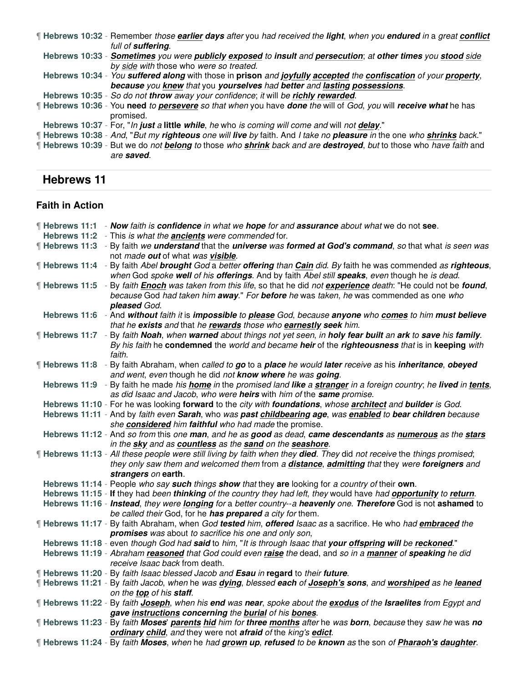¶ **Hebrews 10:32** - Remember those **earlier days** after you had received the **light**, when you **endured** in a great **conflict** full of **suffering**. **Hebrews 10:33** - **Sometimes** you were **publicly exposed** to **insult** and **persecution**; at **other times** you **stood** side by side with those who were so treated. **Hebrews 10:34** - You **suffered along** with those in **prison** and **joyfully accepted** the **confiscation** of your **property**, **because** you **knew** that you **yourselves** had **better** and **lasting possessions**. **Hebrews 10:35** - So do not **throw** away your confidence; it will be **richly rewarded**. ¶ **Hebrews 10:36** - You **need** to **persevere** so that when you have **done** the will of God, you will **receive what** he has promised. **Hebrews 10:37** - For, "In **just** a **little while**, he who is coming will come and will not **delay**." ¶ **Hebrews 10:38** - And, "But my **righteous** one will **live** by faith. And I take no **pleasure** in the one who **shrinks** back." ¶ **Hebrews 10:39** - But we do not **belong** to those who **shrink** back and are **destroyed**, but to those who have faith and are **saved**.

# **Hebrews 11**

#### **Faith in Action**

|  | <b>Hebrews 11:1 - Now faith is confidence in what we hope for and assurance about what we do not see.</b>                                                                                                               |
|--|-------------------------------------------------------------------------------------------------------------------------------------------------------------------------------------------------------------------------|
|  | Hebrews 11:2 - This is what the <b>ancients</b> were commended for.                                                                                                                                                     |
|  | <b>Hebrews 11:3</b> - By faith we <i>understand</i> that the <i>universe was formed at God's command</i> , so that what is seen was                                                                                     |
|  | not made out of what was visible.                                                                                                                                                                                       |
|  | ¶ Hebrews 11:4 - By faith Abel brought God a better offering than Cain did. By faith he was commended as righteous,                                                                                                     |
|  | when God spoke well of his offerings. And by faith Abel still speaks, even though he is dead.                                                                                                                           |
|  | [Hebrews 11:5 - By faith <i>Enoch was taken from this life</i> , so that he did <i>not experience death</i> : "He could not be found,                                                                                   |
|  | because God had taken him away." For before he was taken, he was commended as one who                                                                                                                                   |
|  | pleased God.                                                                                                                                                                                                            |
|  | Hebrews 11:6 - And without faith it is impossible to please God, because anyone who comes to him must believe                                                                                                           |
|  | that he exists and that he rewards those who earnestly seek him.                                                                                                                                                        |
|  | ¶ Hebrews 11:7 - By faith Noah, when warned about things not yet seen, in holy fear built an ark to save his family.                                                                                                    |
|  | By his faith he condemned the world and became heir of the righteousness that is in keeping with                                                                                                                        |
|  | faith.                                                                                                                                                                                                                  |
|  | Hebrews 11:8 - By faith Abraham, when called to go to a place he would later receive as his inheritance, obeyed                                                                                                         |
|  | and went, even though he did not know where he was going.                                                                                                                                                               |
|  | Hebrews 11:9 - By faith he made his home in the promised land like a stranger in a foreign country; he lived in tents,                                                                                                  |
|  | as did Isaac and Jacob, who were heirs with him of the same promise.                                                                                                                                                    |
|  | Hebrews 11:10 - For he was looking forward to the city with foundations, whose architect and builder is God.                                                                                                            |
|  | Hebrews 11:11 - And by faith even Sarah, who was past childbearing age, was enabled to bear children because                                                                                                            |
|  | she considered him faithful who had made the promise.                                                                                                                                                                   |
|  | Hebrews 11:12 - And so from this one man, and he as good as dead, came descendants as numerous as the stars                                                                                                             |
|  | in the sky and as countless as the sand on the seashore.                                                                                                                                                                |
|  | [Hebrews 11:13 - All these people were still living by faith when they died. They did not receive the things promised;                                                                                                  |
|  | they only saw them and welcomed them from a distance, admitting that they were foreigners and                                                                                                                           |
|  | strangers on earth.                                                                                                                                                                                                     |
|  | Hebrews 11:14 - People who say such things show that they are looking for a country of their own.<br>Hebrews 11:15 - If they had been thinking of the country they had left, they would have had opportunity to return. |
|  | Hebrews 11:16 - Instead, they were longing for a better country--a heavenly one. Therefore God is not ashamed to                                                                                                        |
|  | be called their God, for he has prepared a city for them.                                                                                                                                                               |
|  | If Hebrews 11:17 - By faith Abraham, when God tested him, offered Isaac as a sacrifice. He who had embraced the                                                                                                         |
|  | promises was about to sacrifice his one and only son,                                                                                                                                                                   |
|  | Hebrews 11:18 - even though God had said to him, "It is through Isaac that your offspring will be reckoned."                                                                                                            |
|  | Hebrews 11:19 - Abraham reasoned that God could even raise the dead, and so in a manner of speaking he did                                                                                                              |
|  | receive Isaac back from death.                                                                                                                                                                                          |
|  | ¶ Hebrews 11:20 - By faith Isaac blessed Jacob and Esau in regard to their future.                                                                                                                                      |
|  | Hebrews 11:21 - By faith Jacob, when he was dying, blessed each of Joseph's sons, and worshiped as he leaned                                                                                                            |
|  | on the top of his staff.                                                                                                                                                                                                |
|  | If Hebrews 11:22 - By faith Joseph, when his end was near, spoke about the exodus of the Israelites from Egypt and                                                                                                      |
|  | gave instructions concerning the burial of his bones.                                                                                                                                                                   |
|  | If Hebrews 11:23 - By faith Moses' parents hid him for three months after he was born, because they saw he was no                                                                                                       |
|  | ordinary child, and they were not afraid of the king's edict.                                                                                                                                                           |
|  | If Hebrews 11:24 - By faith Moses, when he had grown up, refused to be known as the son of <i>Pharaoh's daughter</i> .                                                                                                  |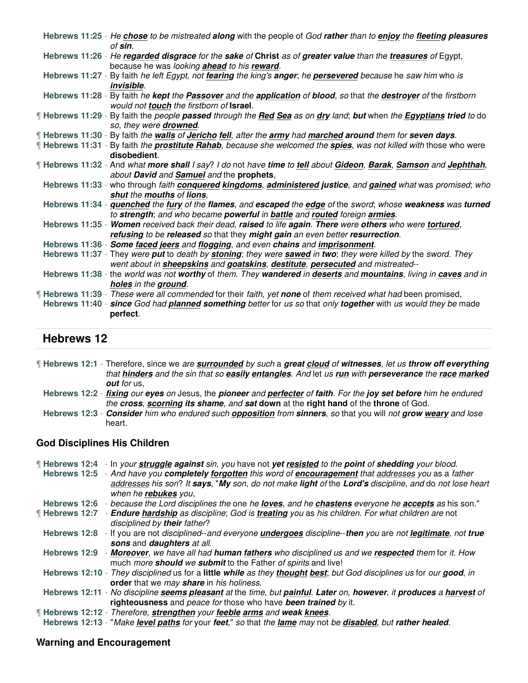| Hebrews 11:25 - He chose to be mistreated along with the people of God rather than to enjoy the fleeting pleasures<br>of <b>sin</b> .                                               |
|-------------------------------------------------------------------------------------------------------------------------------------------------------------------------------------|
| Hebrews 11:26 - He regarded disgrace for the sake of Christ as of greater value than the treasures of Egypt,<br>because he was looking ahead to his reward.                         |
| Hebrews 11:27 - By faith he left Egypt, not fearing the king's anger; he persevered because he saw him who is<br><i>invisible.</i>                                                  |
| Hebrews 11:28 - By faith he kept the <b>Passover</b> and the <i>application</i> of blood, so that the <i>destroyer</i> of the firstborn<br>would not touch the firstborn of Israel. |
| If Hebrews 11:29 - By faith the people passed through the Red Sea as on dry land; but when the Egyptians tried to do<br>so, they were drowned.                                      |
| If Hebrews 11:30 - By faith the walls of Jericho fell, after the army had marched around them for seven days.                                                                       |
| If Hebrews 11:31 - By faith the <b>prostitute Rahab</b> , because she welcomed the <b>spies</b> , was not killed with those who were                                                |
| disobedient.                                                                                                                                                                        |
| [Hebrews 11:32 - And what more shall I say? I do not have time to tell about Gideon, Barak, Samson and Jephthah,                                                                    |
| about David and Samuel and the prophets,                                                                                                                                            |
| Hebrews 11:33 - who through faith conquered kingdoms, administered justice, and gained what was promised; who                                                                       |
| shut the mouths of lions,                                                                                                                                                           |
| Hebrews 11:34 - <i>quenched the fury of the flames</i> , and escaped the edge of the sword; whose weakness was turned                                                               |
| to strength; and who became powerful in battle and routed foreign armies.                                                                                                           |
| Hebrews 11:35 - Women received back their dead, raised to life again. There were others who were tortured,                                                                          |
| refusing to be released so that they might gain an even better resurrection.                                                                                                        |
| Hebrews 11:36 - Some faced jeers and flogging, and even chains and imprisonment.                                                                                                    |
| Hebrews 11:37 - They were put to death by stoning; they were sawed in two; they were killed by the sword. They                                                                      |
| went about in sheepskins and goatskins, destitute, persecuted and mistreated--                                                                                                      |
| Hebrews 11:38 - the world was not worthy of them. They wandered in deserts and mountains, living in caves and in<br>holes in the ground.                                            |
| [Hebrews 11:39 - These were all commended for their faith, yet none of them received what had been promised,                                                                        |
| Hebrews 11:40 - since God had planned something better for us so that only together with us would they be made                                                                      |
| perfect.                                                                                                                                                                            |
|                                                                                                                                                                                     |

# **Hebrews 12**

¶ **Hebrews 12:1** - Therefore, since we are **surrounded** by such a **great cloud** of **witnesses**, let us **throw off everything** that **hinders** and the sin that so **easily entangles**. And let us **run** with **perseverance** the **race marked out** for us,

**Hebrews 12:2** - **fixing** our **eyes** on Jesus, the **pioneer** and **perfecter** of **faith**. For the **joy set before** him he endured the **cross**, **scorning its shame**, and **sat down** at the **right hand** of the **throne** of God.

**Hebrews 12:3** - **Consider** him who endured such **opposition** from **sinners**, so that you will not **grow weary** and lose heart.

#### **God Disciplines His Children**

¶ **Hebrews 12:4** - In your **struggle against** sin, you have not **yet resisted** to the **point** of **shedding** your blood. **Hebrews 12:5** - And have you **completely forgotten** this word of **encouragement** that addresses you as a father addresses his son? It **says**, "**My** son, do not make **light** of the **Lord's** discipline, and do not lose heart when he **rebukes** you, **Hebrews 12:6** - because the Lord disciplines the one he **loves**, and he **chastens** everyone he **accepts** as his son." ¶ **Hebrews 12:7** - **Endure hardship** as discipline; God is **treating** you as his children. For what children are not disciplined by **their** father? **Hebrews 12:8** - If you are not disciplined--and everyone **undergoes** discipline--**then** you are not **legitimate**, not **true sons** and **daughters** at all. **Hebrews 12:9** - **Moreover**, we have all had **human fathers** who disciplined us and we **respected** them for it. How much more **should** we **submit** to the Father of spirits and live! **Hebrews 12:10** - They disciplined us for a **little while** as they **thought best**; but God disciplines us for our **good**, in **order** that we may **share** in his holiness. **Hebrews 12:11** - No discipline **seems pleasant** at the time, but **painful**. **Later** on, **however**, it **produces** a **harvest** of **righteousness** and peace for those who have **been trained** by it. ¶ **Hebrews 12:12** - Therefore, **strengthen** your **feeble arms** and **weak knees**. **Hebrews 12:13** - "Make **level paths** for your **feet**," so that the **lame** may not be **disabled**, but **rather healed**.

#### **Warning and Encouragement**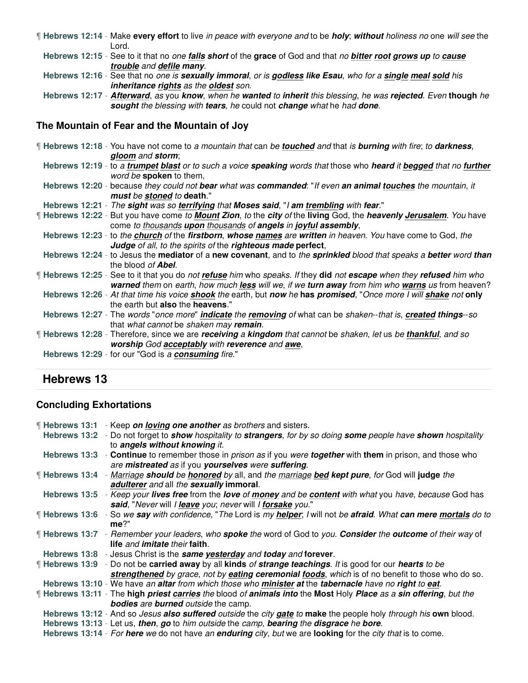- ¶ **Hebrews 12:14** Make **every effort** to live in peace with everyone and to be **holy**; **without** holiness no one will see the Lord.
	- **Hebrews 12:15** See to it that no one **falls short** of the **grace** of God and that no **bitter root grows up** to **cause trouble** and **defile many**.
	- **Hebrews 12:16** See that no one is **sexually immoral**, or is **godless like Esau**, who for a **single meal sold** his **inheritance rights** as the **oldest** son.
	- **Hebrews 12:17 Afterward**, as you **know**, when he **wanted** to **inherit** this blessing, he was **rejected**. Even **though** he **sought** the blessing with **tears**, he could not **change** what he had **done**.

#### **The Mountain of Fear and the Mountain of Joy**

¶ **Hebrews 12:18** - You have not come to a mountain that can be **touched** and that is **burning** with fire; to **darkness**, **gloom** and **storm**; **Hebrews 12:19** - to a **trumpet blast** or to such a voice **speaking** words that those who **heard** it **begged** that no **further** word be **spoken** to them, **Hebrews 12:20** - because they could not **bear** what was **commanded**: "If even **an animal touches** the mountain, it **must** be **stoned** to **death**." **Hebrews 12:21** - The **sight** was so **terrifying** that **Moses said**, "I **am trembling** with **fear**." ¶ **Hebrews 12:22** - But you have come to **Mount Zion**, to the **city** of the **living** God, the **heavenly Jerusalem**. You have come to thousands **upon** thousands of **angels** in **joyful assembly**, **Hebrews 12:23** - to the **church** of the **firstborn**, **whose names** are **written** in heaven. You have come to God, the **Judge** of all, to the spirits of the **righteous made perfect**, **Hebrews 12:24** - to Jesus the **mediator** of a **new covenant**, and to the **sprinkled** blood that speaks a **better** word **than** the blood of **Abel**. ¶ **Hebrews 12:25** - See to it that you do not **refuse** him who speaks. If they **did** not **escape** when they **refused** him who **warned** them on earth, how much **less** will we, if we **turn away** from him who **warns** us from heaven? **Hebrews 12:26** - At that time his voice **shook** the earth, but **now** he **has promised**, "Once more I will **shake** not **only** the earth but **also** the **heavens**." **Hebrews 12:27** - The words "once more" **indicate** the **removing** of what can be shaken--that is, **created things**--so that what cannot be shaken may **remain**. ¶ **Hebrews 12:28** - Therefore, since we are **receiving** a **kingdom** that cannot be shaken, let us be **thankful**, and so **worship** God **acceptably** with **reverence** and **awe**, **Hebrews 12:29** - for our "God is a **consuming** fire."

# **Hebrews 13**

#### **Concluding Exhortations**

| Hebrews 13:1 - Keep on loving one another as brothers and sisters.                                                                                                                  |
|-------------------------------------------------------------------------------------------------------------------------------------------------------------------------------------|
| Hebrews 13:2 - Do not forget to <i>show hospitality to strangers</i> , for by so doing some people have shown hospitality                                                           |
| to angels without knowing it.                                                                                                                                                       |
| Hebrews 13:3 - Continue to remember those in <i>prison as</i> if you were <b>together</b> with them in prison, and those who<br>are mistreated as if you yourselves were suffering. |
| <b>Hebrews 13:4</b> - Marriage should be honored by all, and the marriage bed kept pure, for God will judge the                                                                     |
| adulterer and all the sexually immoral.                                                                                                                                             |
| Hebrews 13:5 - Keep your lives free from the love of money and be content with what you have, because God has                                                                       |
| said, "Never will I leave you; never will I forsake you."                                                                                                                           |
| ¶ Hebrews 13:6 - So we say with confidence, "The Lord is my helper; I will not be afraid. What can mere mortals do to                                                               |
| $me?$ "                                                                                                                                                                             |
| <b>Hebrews 13:7</b> - Remember your leaders, who <b>spoke</b> the word of God to you. <b>Consider</b> the <b>outcome</b> of their way of                                            |
| life and imitate their faith.                                                                                                                                                       |
| Hebrews 13:8 - Jesus Christ is the same yesterday and today and forever.                                                                                                            |
| <b>Hebrews 13:9</b> - Do not be carried away by all kinds of strange teachings. It is good for our hearts to be                                                                     |
| strengthened by grace, not by eating ceremonial foods, which is of no benefit to those who do so.                                                                                   |
| Hebrews 13:10 - We have an altar from which those who minister at the tabernacle have no right to eat.                                                                              |
| If Hebrews 13:11 - The high priest carries the blood of animals into the Most Holy Place as a sin offering, but the                                                                 |
| <b>bodies</b> are <b>burned</b> outside the camp.                                                                                                                                   |
| Hebrews 13:12 - And so Jesus also suffered outside the city gate to make the people holy through his own blood.                                                                     |
| Hebrews 13:13 - Let us, then, go to him outside the camp, bearing the disgrace he bore.                                                                                             |
| Hebrews 13:14 - For here we do not have an enduring city, but we are looking for the city that is to come.                                                                          |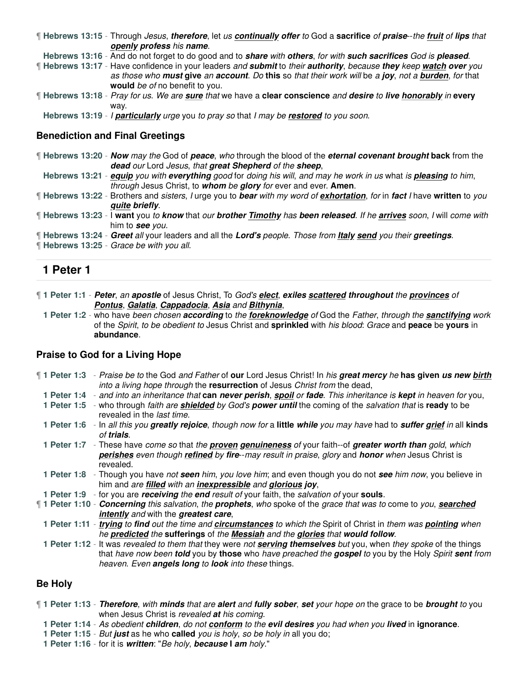| If Hebrews 13:15 - Through Jesus, therefore, let us continually offer to God a sacrifice of praise--the fruit of lips that |                          |  |  |  |
|----------------------------------------------------------------------------------------------------------------------------|--------------------------|--|--|--|
|                                                                                                                            | openly profess his name. |  |  |  |

**Hebrews 13:16** - And do not forget to do good and to **share** with **others**, for with **such sacrifices** God is **pleased**.

¶ **Hebrews 13:17** - Have confidence in your leaders and **submit** to their **authority**, because **they** keep **watch over** you as those who **must give** an **account**. Do **this** so that their work will be a **joy**, not a **burden**, for that **would** be of no benefit to you.

¶ **Hebrews 13:18** - Pray for us. We are **sure** that we have a **clear conscience** and **desire** to **live honorably** in **every** way.

**Hebrews 13:19** - I **particularly** urge you to pray so that I may be **restored** to you soon.

#### **Benediction and Final Greetings**

- ¶ **Hebrews 13:20 Now** may the God of **peace**, who through the blood of the **eternal covenant brought back** from the **dead** our Lord Jesus, that **great Shepherd** of the **sheep**,
- **Hebrews 13:21 equip** you with **everything** good for doing his will, and may he work in us what is **pleasing** to him, through Jesus Christ, to **whom** be **glory** for ever and ever. **Amen**.
- ¶ **Hebrews 13:22** Brothers and sisters, I urge you to **bear** with my word of **exhortation**, for in **fact** I have **written** to you **quite briefly**.
- ¶ **Hebrews 13:23** I **want** you to **know** that our **brother Timothy** has **been released**. If he **arrives** soon, I will come with him to **see** you.
- ¶ **Hebrews 13:24 Greet** all your leaders and all the **Lord's** people. Those from **Italy send** you their **greetings**.
- ¶ **Hebrews 13:25** Grace be with you all.

# **1 Peter 1**

¶ **1 Peter 1:1** - **Peter**, an **apostle** of Jesus Christ, To God's **elect**, **exiles scattered throughout** the **provinces** of **Pontus**, **Galatia**, **Cappadocia**, **Asia** and **Bithynia**,

**1 Peter 1:2** - who have been chosen **according** to the **foreknowledge** of God the Father, through the **sanctifying** work of the Spirit, to be obedient to Jesus Christ and **sprinkled** with his blood: Grace and **peace** be **yours** in **abundance**.

#### **Praise to God for a Living Hope**

- ¶ **1 Peter 1:3** Praise be to the God and Father of **our** Lord Jesus Christ! In his **great mercy** he **has given us new birth** into a living hope through the **resurrection** of Jesus Christ from the dead,
- **1 Peter 1:4** and into an inheritance that **can never perish**, **spoil** or **fade**. This inheritance is **kept** in heaven for you,
- **1 Peter 1:5** who through faith are **shielded** by God's **power until** the coming of the salvation that is **ready** to be revealed in the last time.
- **1 Peter 1:6** In all this you **greatly rejoice**, though now for a **little while** you may have had to **suffer grief** in all **kinds** of **trials**.
- **1 Peter 1:7** These have come so that the **proven genuineness** of your faith--of **greater worth than** gold, which **perishes** even though **refined** by **fire**--may result in praise, glory and **honor** when Jesus Christ is revealed.
- **1 Peter 1:8** Though you have not **seen** him, you love him; and even though you do not **see** him now, you believe in him and are **filled** with an **inexpressible** and **glorious joy**,
- **1 Peter 1:9** for you are **receiving** the **end** result of your faith, the salvation of your **souls**.
- ¶ **1 Peter 1:10 Concerning** this salvation, the **prophets**, who spoke of the grace that was to come to you, **searched intently** and with the **greatest care**,
	- **1 Peter 1:11 trying** to **find** out the time and **circumstances** to which the Spirit of Christ in them was **pointing** when he **predicted** the **sufferings** of the **Messiah** and the **glories** that **would follow**.
- **1 Peter 1:12** It was revealed to them that they were not **serving themselves** but you, when they spoke of the things that have now been **told** you by **those** who have preached the **gospel** to you by the Holy Spirit **sent** from heaven. Even **angels long** to **look** into these things.

#### **Be Holy**

- ¶ **1 Peter 1:13 Therefore**, with **minds** that are **alert** and **fully sober**, **set** your hope on the grace to be **brought** to you when Jesus Christ is revealed **at** his coming.
	- **1 Peter 1:14** As obedient **children**, do not **conform** to the **evil desires** you had when you **lived** in **ignorance**.
	- **1 Peter 1:15** But **just** as he who **called** you is holy, so be holy in all you do;
	- **1 Peter 1:16** for it is **written**: "Be holy, **because I am** holy."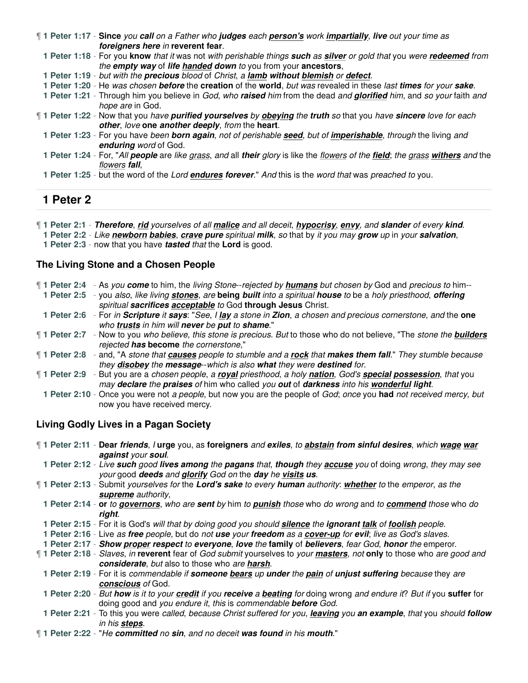¶ **1 Peter 1:17** - **Since** you **call** on a Father who **judges** each **person's** work **impartially**, **live** out your time as **foreigners here** in **reverent fear**.

**1 Peter 1:18** - For you **know** that it was not with perishable things **such** as **silver** or gold that you were **redeemed** from the **empty way** of **life handed down** to you from your **ancestors**,

- **1 Peter 1:19** but with the **precious** blood of Christ, a **lamb without blemish** or **defect**.
- **1 Peter 1:20** He was chosen **before** the **creation** of the **world**, but was revealed in these last **times** for your **sake**.

**1 Peter 1:21** - Through him you believe in God, who **raised** him from the dead and **glorified** him, and so your faith and hope are in God.

- ¶ **1 Peter 1:22** Now that you have **purified yourselves** by **obeying** the **truth** so that you have **sincere** love for each **other**, love **one another deeply**, from the **heart**.
	- **1 Peter 1:23** For you have been **born again**, not of perishable **seed**, but of **imperishable**, through the living and **enduring** word of God.
	- **1 Peter 1:24** For, "All **people** are like grass, and all **their** glory is like the flowers of the **field**; the grass **withers** and the flowers **fall**,
	- **1 Peter 1:25** but the word of the Lord **endures forever**." And this is the word that was preached to you.

# **1 Peter 2**

¶ **1 Peter 2:1** - **Therefore**, **rid** yourselves of all **malice** and all deceit, **hypocrisy**, **envy**, and **slander** of every **kind**.

**1 Peter 2:2** - Like **newborn babies**, **crave pure** spiritual **milk**, so that by it you may **grow** up in your **salvation**,

**1 Peter 2:3** - now that you have **tasted** that the **Lord** is good.

#### **The Living Stone and a Chosen People**

| 1 Peter 2:4 - As you come to him, the living Stone-rejected by humans but chosen by God and precious to him--                    |
|----------------------------------------------------------------------------------------------------------------------------------|
| 1 Peter 2:5 - you also, like living stones, are being built into a spiritual house to be a holy priesthood, offering             |
| spiritual sacrifices acceptable to God through Jesus Christ.                                                                     |
| 1 Peter 2:6 - For in Scripture it says: "See, I lay a stone in Zion, a chosen and precious cornerstone, and the one              |
| who trusts in him will never be put to shame."                                                                                   |
| If 1 Peter 2:7 - Now to you who believe, this stone is precious. But to those who do not believe, "The stone the <b>builders</b> |
| rejected has become the cornerstone,"                                                                                            |
| 1 Peter 2:8 - and, "A stone that causes people to stumble and a rock that makes them fall." They stumble because                 |
| they disobey the message-which is also what they were destined for.                                                              |
| 1 Peter 2:9 - But you are a chosen people, a royal priesthood, a holy nation, God's special possession, that you                 |
| may declare the praises of him who called you out of darkness into his wonderful light.                                          |
| 1 Peter 2:10 - Once you were not a people, but now you are the people of God; once you had not received mercy, but               |
| now you have received mercy.                                                                                                     |

#### **Living Godly Lives in a Pagan Society**

- ¶ **1 Peter 2:11 Dear friends**, I **urge** you, as **foreigners** and **exiles**, to **abstain from sinful desires**, which **wage war against** your **soul**.
- **1 Peter 2:12** Live **such** good **lives among** the **pagans** that, **though** they **accuse** you of doing wrong, they may see your good **deeds** and **glorify** God on the **day** he **visits us**.
- ¶ **1 Peter 2:13** Submit yourselves for the **Lord's sake** to every **human** authority: **whether** to the emperor, as the **supreme** authority,
- **1 Peter 2:14 or** to **governors**, who are **sent** by him to **punish** those who do wrong and to **commend** those who do **right**.
- **1 Peter 2:15** For it is God's will that by doing good you should **silence** the **ignorant talk** of **foolish** people.
- **1 Peter 2:16** Live as **free** people, but do not **use** your **freedom** as a **cover-up** for **evil**; live as God's slaves.
- **1 Peter 2:17 Show proper respect** to **everyone**, **love** the **family** of **believers**, fear God, **honor** the emperor.

¶ **1 Peter 2:18** - Slaves, in **reverent** fear of God submit yourselves to your **masters**, not **only** to those who are good and **considerate**, but also to those who are **harsh**.

**1 Peter 2:19** - For it is commendable if **someone bears** up **under** the **pain** of **unjust suffering** because they are **conscious** of God.

**1 Peter 2:20** - But **how** is it to your **credit** if you **receive** a **beating** for doing wrong and endure it? But if you **suffer** for doing good and you endure it, this is commendable **before** God.

- **1 Peter 2:21** To this you were called, because Christ suffered for you, **leaving** you **an example**, that you should **follow** in his **steps**.
- ¶ **1 Peter 2:22** "He **committed** no **sin**, and no deceit **was found** in his **mouth**."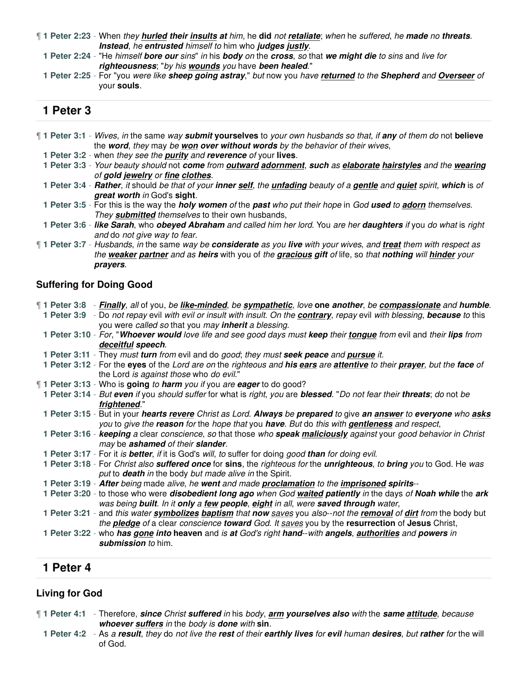¶ **1 Peter 2:23** - When they **hurled their insults at** him, he **did** not **retaliate**; when he suffered, he **made** no **threats**. **Instead**, he **entrusted** himself to him who **judges justly**.

**1 Peter 2:24** - "He himself **bore our** sins" in his **body** on the **cross**, so that **we might die** to sins and live for **righteousness**; "by his **wounds** you have **been healed**."

**1 Peter 2:25** - For "you were like **sheep going astray**," but now you have **returned** to the **Shepherd** and **Overseer** of your **souls**.

# **1 Peter 3**

- ¶ **1 Peter 3:1** Wives, in the same way **submit yourselves** to your own husbands so that, if **any** of them do not **believe** the **word**, they may be **won over without words** by the behavior of their wives,
	- **1 Peter 3:2** when they see the **purity** and **reverence** of your **lives**.

**1 Peter 3:3** - Your beauty should not **come** from **outward adornment**, **such** as **elaborate hairstyles** and the **wearing** of **gold jewelry** or **fine clothes**.

**1 Peter 3:4** - **Rather**, it should be that of your **inner self**, the **unfading** beauty of a **gentle** and **quiet** spirit, **which** is of **great worth** in God's **sight**.

**1 Peter 3:5** - For this is the way the **holy women** of the **past** who put their hope in God **used** to **adorn** themselves. They **submitted** themselves to their own husbands,

**1 Peter 3:6** - **like Sarah**, who **obeyed Abraham** and called him her lord. You are her **daughters** if you do what is right and do not give way to fear.

¶ **1 Peter 3:7** - Husbands, in the same way be **considerate** as you **live** with your wives, and **treat** them with respect as the **weaker partner** and as **heirs** with you of the **gracious gift** of life, so that **nothing** will **hinder** your **prayers**.

#### **Suffering for Doing Good**

|  | ¶ 1 Peter 3:8 → Finally, all of you, be like-minded, be sympathetic, love one another, be compassionate and humble.             |
|--|---------------------------------------------------------------------------------------------------------------------------------|
|  | 1 Peter 3:9 - Do not repay evil with evil or insult with insult. On the contrary, repay evil with blessing, because to this     |
|  | you were called so that you may <i>inherit a blessing</i> .                                                                     |
|  | 1 Peter 3:10 - For, "Whoever would love life and see good days must keep their tongue from evil and their lips from             |
|  | deceitful speech.                                                                                                               |
|  | 1 Peter 3:11 - They must turn from evil and do good; they must seek peace and pursue it.                                        |
|  | 1 Peter 3:12 - For the eyes of the Lord are on the righteous and his ears are attentive to their prayer, but the face of        |
|  | the Lord is against those who do evil."                                                                                         |
|  | <b>1 Peter 3:13</b> - Who is going to harm you if you are eager to do good?                                                     |
|  | 1 Peter 3:14 - But even if you should suffer for what is right, you are blessed. "Do not fear their threats; do not be          |
|  | frightened."                                                                                                                    |
|  | 1 Peter 3:15 - But in your <i>hearts revere Christ as Lord. Always be prepared to give an answer to everyone who asks</i>       |
|  | you to give the reason for the hope that you have. But do this with gentleness and respect,                                     |
|  | 1 Peter 3:16 - keeping a clear conscience, so that those who speak maliciously against your good behavior in Christ             |
|  | may be ashamed of their slander.                                                                                                |
|  | 1 Peter 3:17 - For it is better, if it is God's will, to suffer for doing good than for doing evil.                             |
|  | 1 Peter 3:18 - For Christ also suffered once for sins, the righteous for the unrighteous, to bring you to God. He was           |
|  | put to death in the body but made alive in the Spirit.                                                                          |
|  | 1 Peter 3:19 - After being made alive, he went and made proclamation to the imprisoned spirits--                                |
|  | 1 Peter 3:20 - to those who were <i>disobedient long ago when God waited patiently in</i> the days of <b>Noah while</b> the ark |
|  | was being built. In it only a few people, eight in all, were saved through water,                                               |
|  | 1 Peter 3:21 - and this water <b>symbolizes baptism</b> that now saves you also--not the removal of dirt from the body but      |
|  | the pledge of a clear conscience toward God. It saves you by the resurrection of Jesus Christ,                                  |
|  | 1 Peter 3:22 - who has gone into heaven and is at God's right hand--with angels, authorities and powers in                      |
|  | submission to him.                                                                                                              |
|  |                                                                                                                                 |

#### **1 Peter 4**

# **Living for God**

- ¶ **1 Peter 4:1** Therefore, **since** Christ **suffered** in his body, **arm yourselves also** with the **same attitude**, because **whoever suffers** in the body is **done** with **sin**.
	- **1 Peter 4:2** As a **result**, they do not live the **rest** of their **earthly lives** for **evil** human **desires**, but **rather** for the will of God.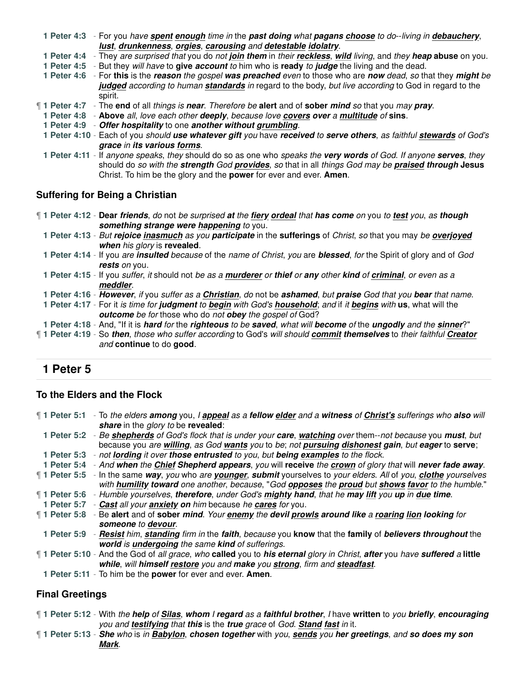**1 Peter 4:3** - For you have **spent enough** time in the **past doing** what **pagans choose** to do--living in **debauchery**, **lust**, **drunkenness**, **orgies**, **carousing** and **detestable idolatry**.

**1 Peter 4:4** - They are surprised that you do not **join them** in their **reckless**, **wild** living, and they **heap abuse** on you.

**1 Peter 4:5** - But they will have to **give account** to him who is **ready** to **judge** the living and the dead.

**1 Peter 4:6** - For **this** is the **reason** the gospel **was preached** even to those who are **now** dead, so that they **might** be judged according to human standards in regard to the body, but live according to God in regard to the spirit.

¶ **1 Peter 4:7** - The **end** of all things is **near**. Therefore be **alert** and of **sober mind** so that you may **pray**.

- **1 Peter 4:8 Above** all, love each other **deeply**, because love **covers over** a **multitude** of **sins**.
- **1 Peter 4:9 Offer hospitality** to one **another without grumbling**.

**1 Peter 4:10** - Each of you should **use whatever gift** you have **received** to **serve others**, as faithful **stewards** of God's **grace** in **its various forms**.

**1 Peter 4:11** - If anyone speaks, they should do so as one who speaks the **very words** of God. If anyone **serves**, they should do so with the **strength** God **provides**, so that in all things God may be **praised through Jesus** Christ. To him be the glory and the **power** for ever and ever. **Amen**.

# **Suffering for Being a Christian**

¶ **1 Peter 4:12** - **Dear friends**, do not be surprised **at** the **fiery ordeal** that **has come** on you to **test** you, as **though something strange were happening** to you.

**1 Peter 4:13** - But **rejoice inasmuch** as you **participate** in the **sufferings** of Christ, so that you may be **overjoyed when** his glory is **revealed**.

- **1 Peter 4:14** If you are **insulted** because of the name of Christ, you are **blessed**, for the Spirit of glory and of God **rests** on you.
- **1 Peter 4:15** If you suffer, it should not be as a **murderer** or **thief** or **any** other **kind** of **criminal**, or even as a **meddler**.
- **1 Peter 4:16 However**, if you suffer as a **Christian**, do not be **ashamed**, but **praise** God that you **bear** that name.

**1 Peter 4:17** - For it is time for **judgment** to **begin** with God's **household**; and if it **begins** with **us**, what will the **outcome** be for those who do not **obey** the gospel of God?

**1 Peter 4:18** - And, "If it is **hard** for the **righteous** to be **saved**, what will **become** of the **ungodly** and the **sinner**?"

¶ **1 Peter 4:19** - So **then**, those who suffer according to God's will should **commit themselves** to their faithful **Creator** and **continue** to do **good**.

# **1 Peter 5**

#### **To the Elders and the Flock**

¶ **1 Peter 5:1** - To the elders **among** you, I **appeal** as a **fellow elder** and a **witness** of **Christ's** sufferings who **also** will **share** in the glory to be **revealed**:

**1 Peter 5:2** - Be **shepherds** of God's flock that is under your **care**, **watching** over them--not because you **must**, but because you are **willing**, as God **wants** you to be; not **pursuing dishonest gain**, but **eager** to **serve**; **1 Peter 5:3** - not **lording** it over **those entrusted** to you, but **being examples** to the flock.

**1 Peter 5:4** - And **when** the **Chief Shepherd appears**, you will **receive** the **crown** of glory that will **never fade away**.

¶ **1 Peter 5:5** - In the same **way**, you who are **younger**, **submit** yourselves to your elders. All of you, **clothe** yourselves

with **humility toward** one another, because, "God **opposes** the **proud** but **shows favor** to the humble."

¶ **1 Peter 5:6** - Humble yourselves, **therefore**, under God's **mighty hand**, that he **may lift** you **up** in **due time**.

**1 Peter 5:7** - **Cast** all your **anxiety on** him because he **cares** for you.

- ¶ **1 Peter 5:8** Be **alert** and of **sober mind**. Your **enemy** the **devil prowls around like** a **roaring lion looking** for **someone** to **devour**.
	- **1 Peter 5:9 Resist** him, **standing** firm in the **faith**, because you **know** that the **family** of **believers throughout** the **world** is **undergoing** the same **kind** of sufferings.

¶ **1 Peter 5:10** - And the God of all grace, who **called** you to **his eternal** glory in Christ, **after** you have **suffered** a **little while**, will **himself restore** you and **make** you **strong**, firm and **steadfast**.

**1 Peter 5:11** - To him be the **power** for ever and ever. **Amen**.

# **Final Greetings**

¶ **1 Peter 5:12** - With the **help** of **Silas**, **whom** I **regard** as a **faithful brother**, I have **written** to you **briefly**, **encouraging** you and **testifying** that **this** is the **true** grace of God. **Stand fast** in it.

¶ **1 Peter 5:13** - **She** who is in **Babylon**, **chosen together** with you, **sends** you **her greetings**, and **so does my son Mark**.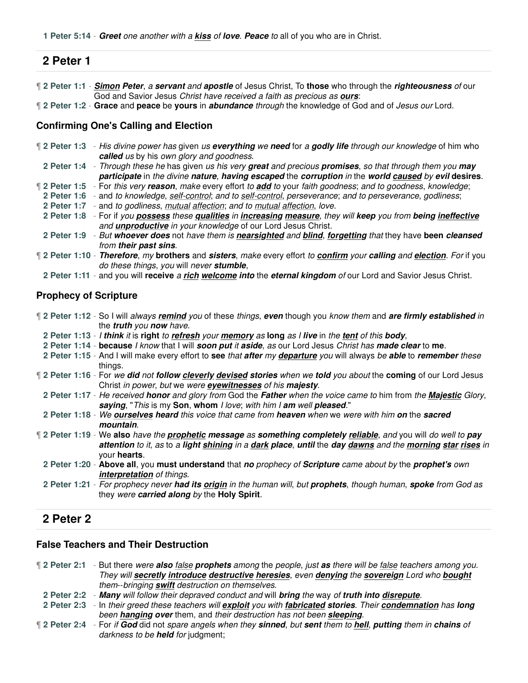# **2 Peter 1**

¶ **2 Peter 1:1** - **Simon Peter**, a **servant** and **apostle** of Jesus Christ, To **those** who through the **righteousness** of our God and Savior Jesus Christ have received a faith as precious as **ours**:

¶ **2 Peter 1:2** - **Grace** and **peace** be **yours** in **abundance** through the knowledge of God and of Jesus our Lord.

#### **Confirming One's Calling and Election**

- ¶ **2 Peter 1:3** His divine power has given us **everything** we **need** for a **godly life** through our knowledge of him who **called** us by his own glory and goodness.
- **2 Peter 1:4** Through these he has given us his very **great** and precious **promises**, so that through them you **may participate** in the divine **nature**, **having escaped** the **corruption** in the **world caused** by **evil desires**.
- ¶ **2 Peter 1:5** For this very **reason**, make every effort to **add** to your faith goodness; and to goodness, knowledge;
- **2 Peter 1:6** and to knowledge, self-control; and to self-control, perseverance; and to perseverance, godliness;
- **2 Peter 1:7** and to godliness, mutual affection; and to mutual affection, love.
- **2 Peter 1:8** For if you **possess** these **qualities** in **increasing measure**, they will **keep** you from **being ineffective** and **unproductive** in your knowledge of our Lord Jesus Christ.
- **2 Peter 1:9** But **whoever does** not have them is **nearsighted** and **blind**, **forgetting** that they have **been cleansed** from **their past sins**.
- ¶ **2 Peter 1:10 Therefore**, my **brothers** and **sisters**, make every effort to **confirm** your **calling** and **election**. For if you do these things, you will never **stumble**,
- **2 Peter 1:11** and you will **receive** a **rich welcome into** the **eternal kingdom** of our Lord and Savior Jesus Christ.

#### **Prophecy of Scripture**

- ¶ **2 Peter 1:12** So I will always **remind** you of these things, **even** though you know them and **are firmly established** in the **truth** you **now** have.
- **2 Peter 1:13** I **think** it is **right** to **refresh** your **memory** as **long** as I **live** in the **tent** of this **body**,
- **2 Peter 1:14 because** I know that I will **soon put** it **aside**, as our Lord Jesus Christ has **made clear** to **me**.
- **2 Peter 1:15** And I will make every effort to **see** that **after** my **departure** you will always be **able** to **remember** these things.
- ¶ **2 Peter 1:16** For we **did** not **follow cleverly devised stories** when we **told** you about the **coming** of our Lord Jesus Christ in power, but we were **eyewitnesses** of his **majesty**.
- **2 Peter 1:17** He received **honor** and glory from God the **Father** when the voice came to him from the **Majestic** Glory, **saying**, "This is my **Son**, **whom** I love; with him I **am** well **pleased**."
- **2 Peter 1:18** We **ourselves heard** this voice that came from **heaven** when we were with him **on** the **sacred mountain**.
- ¶ **2 Peter 1:19** We **also** have the **prophetic message** as **something completely reliable**, and you will do well to **pay attention** to it, as to a **light shining** in a **dark place**, **until** the **day dawns** and the **morning star rises** in your **hearts**.
- **2 Peter 1:20 Above all**, you **must understand** that **no** prophecy of **Scripture** came about by the **prophet's** own **interpretation** of things.
- **2 Peter 1:21** For prophecy never **had its origin** in the human will, but **prophets**, though human, **spoke** from God as they were **carried along** by the **Holy Spirit**.

# **2 Peter 2**

#### **False Teachers and Their Destruction**

¶ **2 Peter 2:1** - But there were **also** false **prophets** among the people, just **as** there will be false teachers among you. They will **secretly introduce destructive heresies**, even **denying** the **sovereign** Lord who **bought** them--bringing **swift** destruction on themselves.

- **2 Peter 2:2 Many** will follow their depraved conduct and will **bring** the way of **truth into disrepute**.
- **2 Peter 2:3** In their greed these teachers will **exploit** you with **fabricated stories**. Their **condemnation** has **long** been **hanging over** them, and their destruction has not been **sleeping**.
- ¶ **2 Peter 2:4** For if **God** did not spare angels when they **sinned**, but **sent** them to **hell**, **putting** them in **chains** of darkness to be **held** for judgment;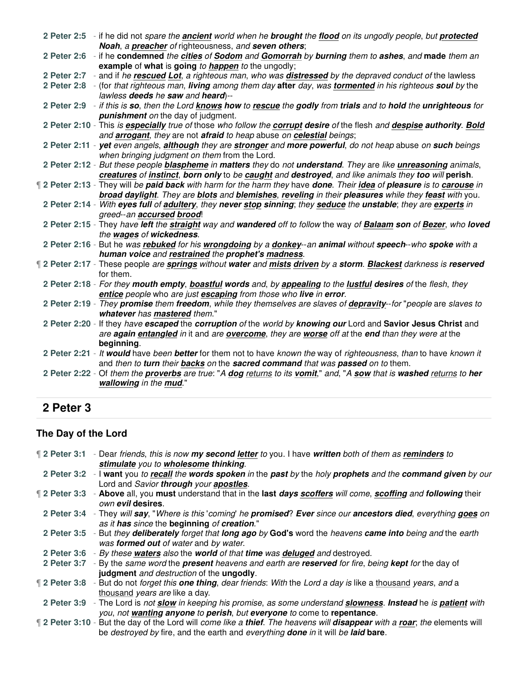|  | 2 Peter 2:5 - if he did not spare the ancient world when he brought the flood on its ungodly people, but protected<br>Noah, a preacher of righteousness, and seven others;                                                            |
|--|---------------------------------------------------------------------------------------------------------------------------------------------------------------------------------------------------------------------------------------|
|  | 2 Peter 2:6 - if he condemned the cities of Sodom and Gomorrah by burning them to ashes, and made them an<br>example of what is going to happen to the ungodly;                                                                       |
|  | 2 Peter 2:7 - and if he rescued Lot, a righteous man, who was distressed by the depraved conduct of the lawless<br>2 Peter 2:8 - (for that righteous man, living among them day after day, was tormented in his righteous soul by the |
|  | lawless deeds he saw and heard)--                                                                                                                                                                                                     |
|  | 2 Peter 2:9 - if this is so, then the Lord knows how to rescue the godly from trials and to hold the unrighteous for<br><b>punishment</b> on the day of judgment.                                                                     |
|  | 2 Peter 2:10 - This is especially true of those who follow the corrupt desire of the flesh and despise authority. Bold<br>and arrogant, they are not afraid to heap abuse on celestial beings;                                        |
|  | 2 Peter 2:11 - yet even angels, although they are stronger and more powerful, do not heap abuse on such beings<br>when bringing judgment on them from the Lord.                                                                       |
|  | 2 Peter 2:12 - But these people blaspheme in matters they do not understand. They are like unreasoning animals,<br>creatures of instinct, born only to be caught and destroyed, and like animals they too will perish.                |
|  | If 2 Peter 2:13 - They will be paid back with harm for the harm they have done. Their idea of pleasure is to carouse in                                                                                                               |
|  | broad daylight. They are blots and blemishes, reveling in their pleasures while they feast with you.<br>2 Peter 2:14 - With eyes full of adultery, they never stop sinning; they seduce the unstable; they are experts in             |
|  | greed--an accursed brood!<br>2 Peter 2:15 - They have left the straight way and wandered off to follow the way of Balaam son of Bezer, who loved                                                                                      |
|  | the wages of wickedness.<br>2 Peter 2:16 - But he was rebuked for his wrongdoing by a donkey--an animal without speech--who spoke with a                                                                                              |
|  | human voice and restrained the prophet's madness.                                                                                                                                                                                     |
|  | 12 Peter 2:17 - These people are springs without water and mists driven by a storm. Blackest darkness is reserved<br>for them.                                                                                                        |
|  | 2 Peter 2:18 - For they mouth empty, boastful words and, by appealing to the lustful desires of the flesh, they<br>entice people who are just escaping from those who live in error.                                                  |
|  | 2 Peter 2:19 - They promise them freedom, while they themselves are slaves of depravity-for "people are slaves to<br>whatever has mastered them."                                                                                     |
|  | 2 Peter 2:20 - If they have escaped the corruption of the world by knowing our Lord and Savior Jesus Christ and<br>are again entangled in it and are overcome, they are worse off at the end than they were at the<br>beginning.      |
|  | 2 Peter 2:21 - It would have been better for them not to have known the way of righteousness, than to have known it<br>and then to turn their backs on the sacred command that was passed on to them.                                 |
|  | 2 Peter 2:22 - Of them the proverbs are true: "A dog returns to its vomit," and, "A sow that is washed returns to her<br>wallowing in the mud."                                                                                       |
|  |                                                                                                                                                                                                                                       |

# **2 Peter 3**

# **The Day of the Lord**

| If 2 Peter 3:1 - Dear friends, this is now my second letter to you. I have written both of them as reminders to                                                    |
|--------------------------------------------------------------------------------------------------------------------------------------------------------------------|
| stimulate you to wholesome thinking.                                                                                                                               |
| 2 Peter 3:2 - I want you to recall the words spoken in the past by the holy prophets and the command given by our                                                  |
| Lord and Savior through your apostles.                                                                                                                             |
| If 2 Peter 3:3 - Above all, you must understand that in the last days scoffers will come, scoffing and following their<br>own evil desires.                        |
| 2 Peter 3:4 - They will say, "Where is this 'coming' he promised? Ever since our ancestors died, everything goes on<br>as it has since the beginning of creation." |
| 2 Peter 3:5 - But they deliberately forget that long ago by God's word the heavens came into being and the earth<br>was formed out of water and by water.          |
| 2 Peter 3:6 - By these waters also the world of that time was deluged and destroyed.                                                                               |
| 2 Peter 3:7 - By the same word the present heavens and earth are reserved for fire, being kept for the day of                                                      |
| judgment and destruction of the ungodly.                                                                                                                           |
| 12 Peter 3:8 - But do not forget this one thing, dear friends: With the Lord a day is like a thousand years, and a                                                 |
| thousand years are like a day.                                                                                                                                     |
| 2 Peter 3:9 - The Lord is not slow in keeping his promise, as some understand slowness. Instead he is patient with                                                 |
| you, not wanting anyone to perish, but everyone to come to repentance.                                                                                             |
| If 2 Peter 3:10 - But the day of the Lord will come like a thief. The heavens will disappear with a roar; the elements will                                        |
| be destroyed by fire, and the earth and everything done in it will be laid bare.                                                                                   |